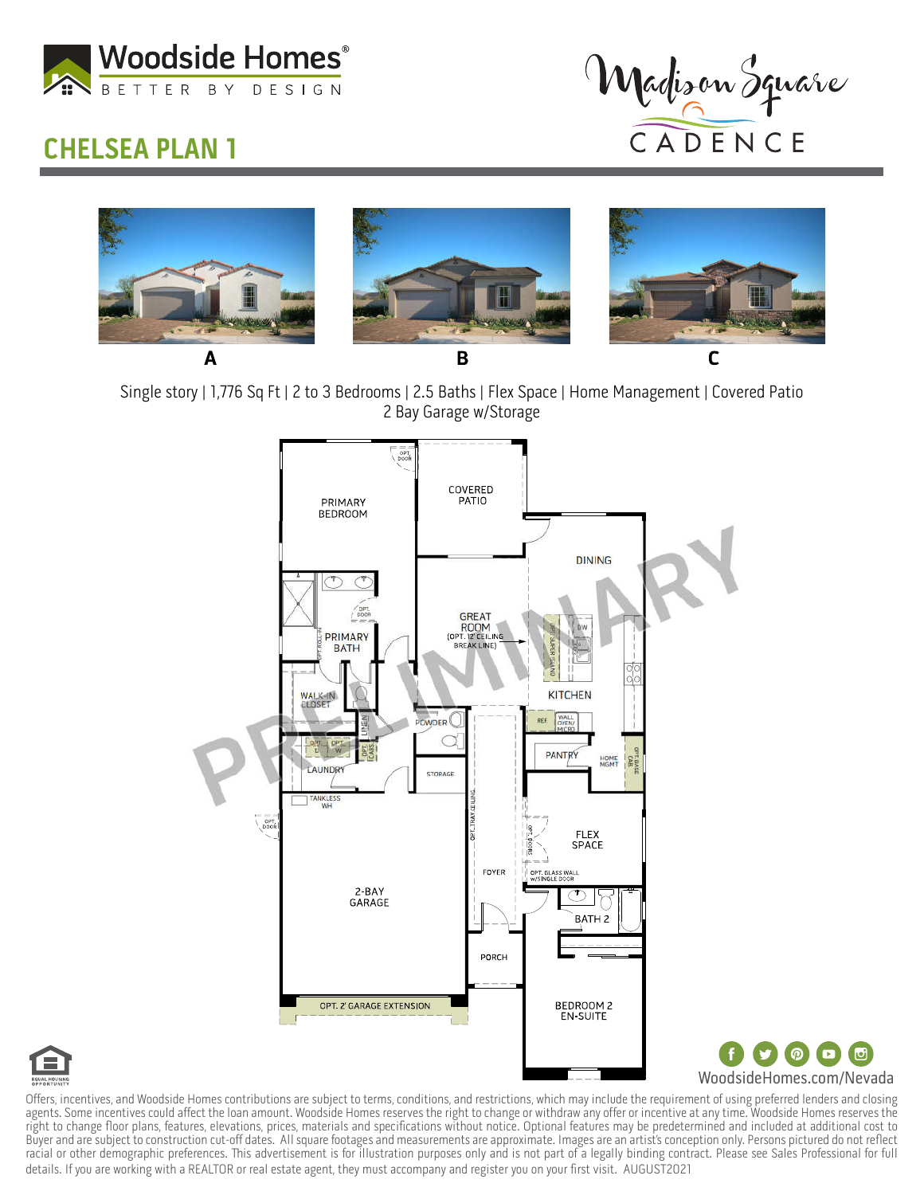

## CHELSEA PLAN 1



 $\Box$  $\blacksquare$ 



Single story | 1,776 Sq Ft | 2 to 3 Bedrooms | 2.5 Baths | Flex Space | Home Management | Covered Patio 2 Bay Garage w/Storage





Offers, incentives, and Woodside Homes contributions are subject to terms, conditions, and restrictions, which may include the requirement of using preferred lenders and closing agents. Some incentives could affect the loan amount. Woodside Homes reserves the right to change or withdraw any offer or incentive at any time. Woodside Homes reserves the right to change floor plans, features, elevations, prices, materials and specifications without notice. Optional features may be predetermined and included at additional cost to Buyer and are subject to construction cut-off dates. All square footages and measurements are approximate. Images are an artist's conception only. Persons pictured do not reflect racial or other demographic preferences. This advertisement is for illustration purposes only and is not part of a legally binding contract. Please see Sales Professional for full details. If you are working with a REALTOR or real estate agent, they must accompany and register you on your first visit. AUGUST2021